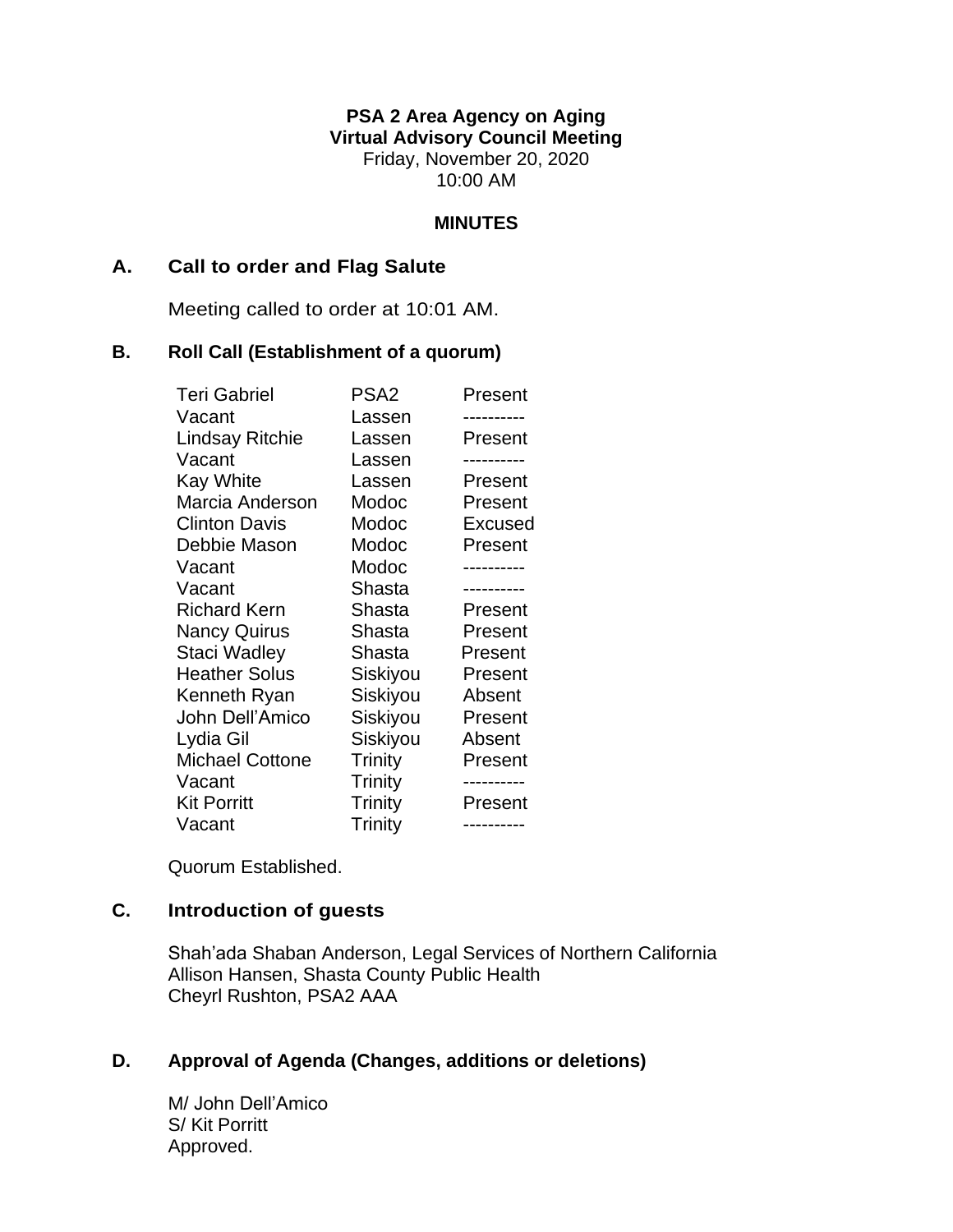**PSA 2 Area Agency on Aging Virtual Advisory Council Meeting** Friday, November 20, 2020 10:00 AM

### **MINUTES**

### **A. Call to order and Flag Salute**

Meeting called to order at 10:01 AM.

### **B. Roll Call (Establishment of a quorum)**

| <b>Teri Gabriel</b>    | PSA <sub>2</sub> | Present |
|------------------------|------------------|---------|
| Vacant                 | Lassen           |         |
| <b>Lindsay Ritchie</b> | Lassen           | Present |
| Vacant                 | Lassen           |         |
| <b>Kay White</b>       | Lassen           | Present |
| Marcia Anderson        | Modoc            | Present |
| <b>Clinton Davis</b>   | Modoc            | Excused |
| Debbie Mason           | Modoc            | Present |
| Vacant                 | Modoc            |         |
| Vacant                 | Shasta           |         |
| <b>Richard Kern</b>    | Shasta           | Present |
| Nancy Quirus           | Shasta           | Present |
| Staci Wadley           | Shasta           | Present |
| <b>Heather Solus</b>   | Siskiyou         | Present |
| Kenneth Ryan           | Siskiyou         | Absent  |
| John Dell'Amico        | Siskiyou         | Present |
| Lydia Gil              | Siskiyou         | Absent  |
| <b>Michael Cottone</b> | Trinity          | Present |
| Vacant                 | <b>Trinity</b>   |         |
| <b>Kit Porritt</b>     | <b>Trinity</b>   | Present |
| Vacant                 | <b>Trinity</b>   |         |

Quorum Established.

# **C. Introduction of guests**

Shah'ada Shaban Anderson, Legal Services of Northern California Allison Hansen, Shasta County Public Health Cheyrl Rushton, PSA2 AAA

## **D. Approval of Agenda (Changes, additions or deletions)**

M/ John Dell'Amico S/ Kit Porritt Approved.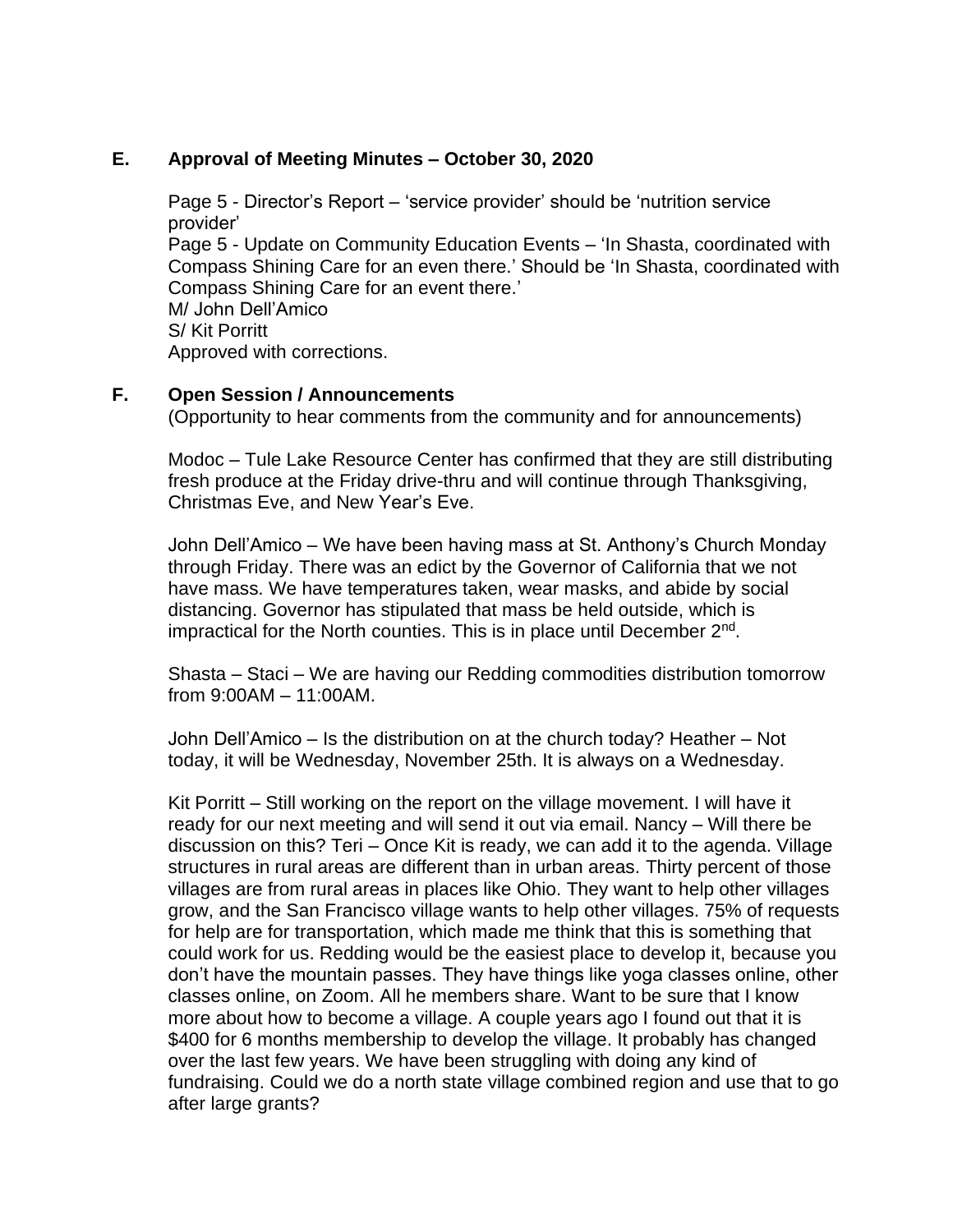### **E. Approval of Meeting Minutes – October 30, 2020**

Page 5 - Director's Report – 'service provider' should be 'nutrition service provider' Page 5 - Update on Community Education Events – 'In Shasta, coordinated with Compass Shining Care for an even there.' Should be 'In Shasta, coordinated with Compass Shining Care for an event there.' M/ John Dell'Amico S/ Kit Porritt Approved with corrections.

## **F. Open Session / Announcements**

(Opportunity to hear comments from the community and for announcements)

Modoc – Tule Lake Resource Center has confirmed that they are still distributing fresh produce at the Friday drive-thru and will continue through Thanksgiving, Christmas Eve, and New Year's Eve.

John Dell'Amico – We have been having mass at St. Anthony's Church Monday through Friday. There was an edict by the Governor of California that we not have mass. We have temperatures taken, wear masks, and abide by social distancing. Governor has stipulated that mass be held outside, which is impractical for the North counties. This is in place until December 2<sup>nd</sup>.

Shasta – Staci – We are having our Redding commodities distribution tomorrow from 9:00AM – 11:00AM.

John Dell'Amico – Is the distribution on at the church today? Heather – Not today, it will be Wednesday, November 25th. It is always on a Wednesday.

Kit Porritt – Still working on the report on the village movement. I will have it ready for our next meeting and will send it out via email. Nancy – Will there be discussion on this? Teri – Once Kit is ready, we can add it to the agenda. Village structures in rural areas are different than in urban areas. Thirty percent of those villages are from rural areas in places like Ohio. They want to help other villages grow, and the San Francisco village wants to help other villages. 75% of requests for help are for transportation, which made me think that this is something that could work for us. Redding would be the easiest place to develop it, because you don't have the mountain passes. They have things like yoga classes online, other classes online, on Zoom. All he members share. Want to be sure that I know more about how to become a village. A couple years ago I found out that it is \$400 for 6 months membership to develop the village. It probably has changed over the last few years. We have been struggling with doing any kind of fundraising. Could we do a north state village combined region and use that to go after large grants?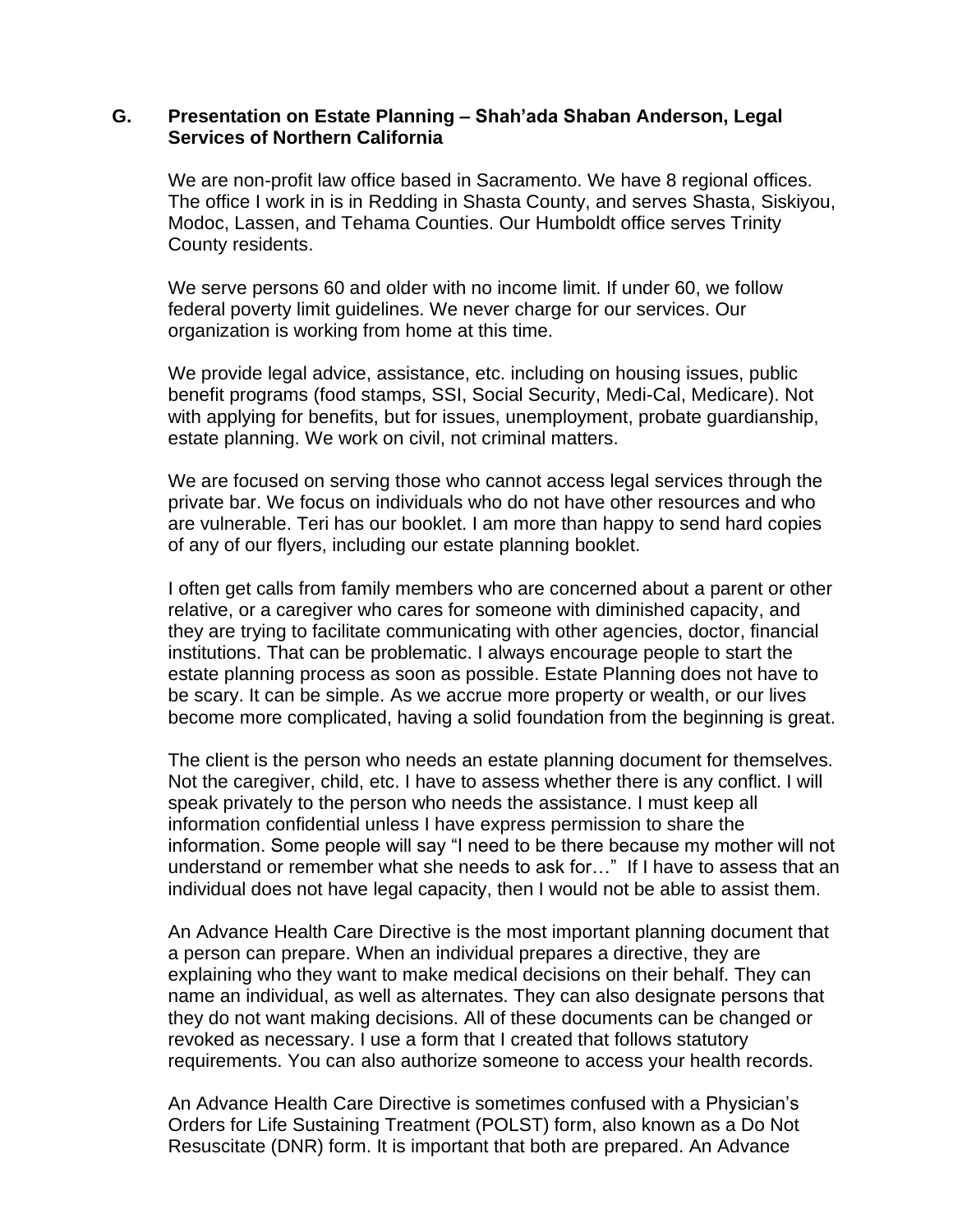#### **G. Presentation on Estate Planning – Shah'ada Shaban Anderson, Legal Services of Northern California**

We are non-profit law office based in Sacramento. We have 8 regional offices. The office I work in is in Redding in Shasta County, and serves Shasta, Siskiyou, Modoc, Lassen, and Tehama Counties. Our Humboldt office serves Trinity County residents.

We serve persons 60 and older with no income limit. If under 60, we follow federal poverty limit guidelines. We never charge for our services. Our organization is working from home at this time.

We provide legal advice, assistance, etc. including on housing issues, public benefit programs (food stamps, SSI, Social Security, Medi-Cal, Medicare). Not with applying for benefits, but for issues, unemployment, probate guardianship, estate planning. We work on civil, not criminal matters.

We are focused on serving those who cannot access legal services through the private bar. We focus on individuals who do not have other resources and who are vulnerable. Teri has our booklet. I am more than happy to send hard copies of any of our flyers, including our estate planning booklet.

I often get calls from family members who are concerned about a parent or other relative, or a caregiver who cares for someone with diminished capacity, and they are trying to facilitate communicating with other agencies, doctor, financial institutions. That can be problematic. I always encourage people to start the estate planning process as soon as possible. Estate Planning does not have to be scary. It can be simple. As we accrue more property or wealth, or our lives become more complicated, having a solid foundation from the beginning is great.

The client is the person who needs an estate planning document for themselves. Not the caregiver, child, etc. I have to assess whether there is any conflict. I will speak privately to the person who needs the assistance. I must keep all information confidential unless I have express permission to share the information. Some people will say "I need to be there because my mother will not understand or remember what she needs to ask for…" If I have to assess that an individual does not have legal capacity, then I would not be able to assist them.

An Advance Health Care Directive is the most important planning document that a person can prepare. When an individual prepares a directive, they are explaining who they want to make medical decisions on their behalf. They can name an individual, as well as alternates. They can also designate persons that they do not want making decisions. All of these documents can be changed or revoked as necessary. I use a form that I created that follows statutory requirements. You can also authorize someone to access your health records.

An Advance Health Care Directive is sometimes confused with a Physician's Orders for Life Sustaining Treatment (POLST) form, also known as a Do Not Resuscitate (DNR) form. It is important that both are prepared. An Advance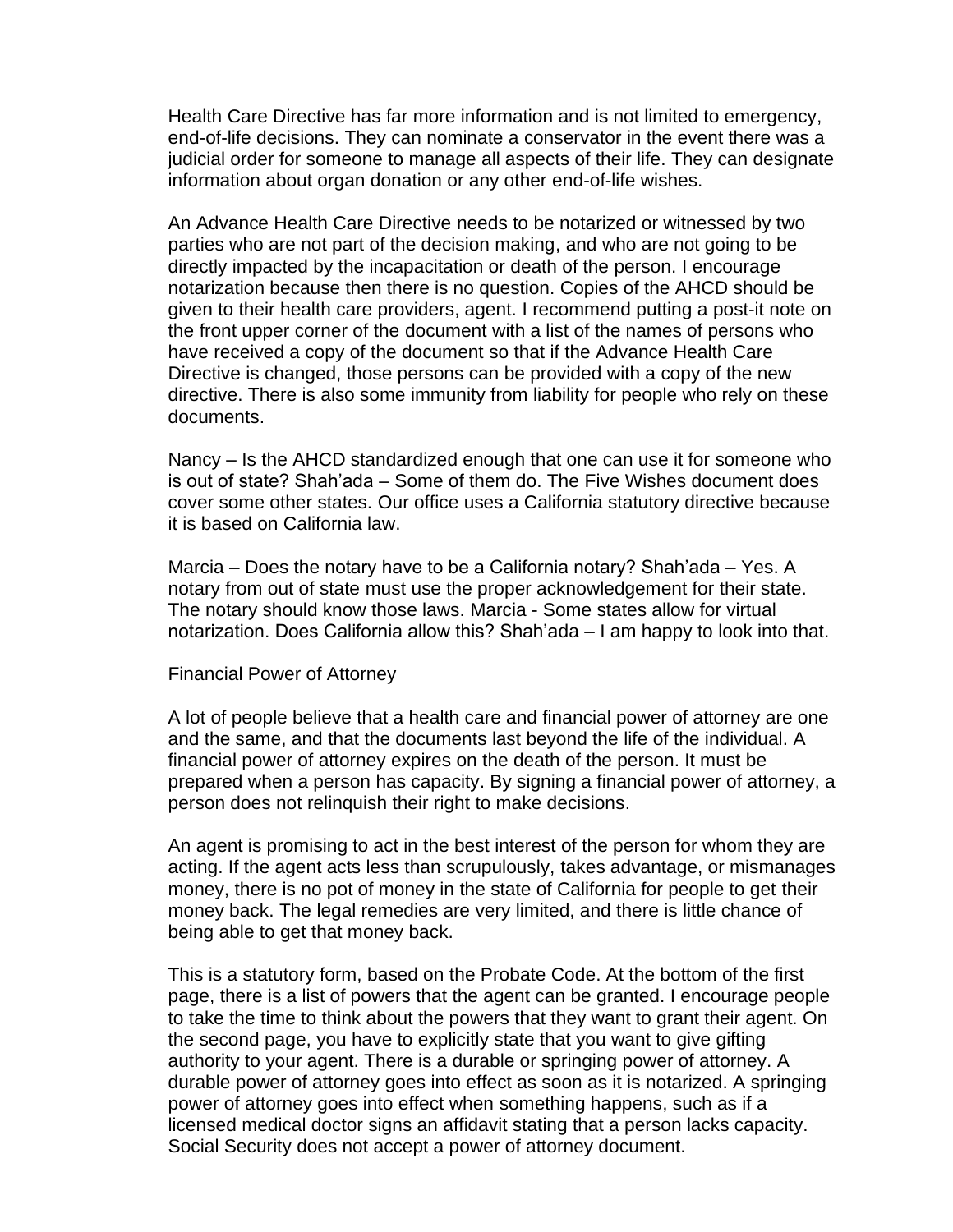Health Care Directive has far more information and is not limited to emergency, end-of-life decisions. They can nominate a conservator in the event there was a judicial order for someone to manage all aspects of their life. They can designate information about organ donation or any other end-of-life wishes.

An Advance Health Care Directive needs to be notarized or witnessed by two parties who are not part of the decision making, and who are not going to be directly impacted by the incapacitation or death of the person. I encourage notarization because then there is no question. Copies of the AHCD should be given to their health care providers, agent. I recommend putting a post-it note on the front upper corner of the document with a list of the names of persons who have received a copy of the document so that if the Advance Health Care Directive is changed, those persons can be provided with a copy of the new directive. There is also some immunity from liability for people who rely on these documents.

Nancy – Is the AHCD standardized enough that one can use it for someone who is out of state? Shah'ada – Some of them do. The Five Wishes document does cover some other states. Our office uses a California statutory directive because it is based on California law.

Marcia – Does the notary have to be a California notary? Shah'ada – Yes. A notary from out of state must use the proper acknowledgement for their state. The notary should know those laws. Marcia - Some states allow for virtual notarization. Does California allow this? Shah'ada – I am happy to look into that.

#### Financial Power of Attorney

A lot of people believe that a health care and financial power of attorney are one and the same, and that the documents last beyond the life of the individual. A financial power of attorney expires on the death of the person. It must be prepared when a person has capacity. By signing a financial power of attorney, a person does not relinquish their right to make decisions.

An agent is promising to act in the best interest of the person for whom they are acting. If the agent acts less than scrupulously, takes advantage, or mismanages money, there is no pot of money in the state of California for people to get their money back. The legal remedies are very limited, and there is little chance of being able to get that money back.

This is a statutory form, based on the Probate Code. At the bottom of the first page, there is a list of powers that the agent can be granted. I encourage people to take the time to think about the powers that they want to grant their agent. On the second page, you have to explicitly state that you want to give gifting authority to your agent. There is a durable or springing power of attorney. A durable power of attorney goes into effect as soon as it is notarized. A springing power of attorney goes into effect when something happens, such as if a licensed medical doctor signs an affidavit stating that a person lacks capacity. Social Security does not accept a power of attorney document.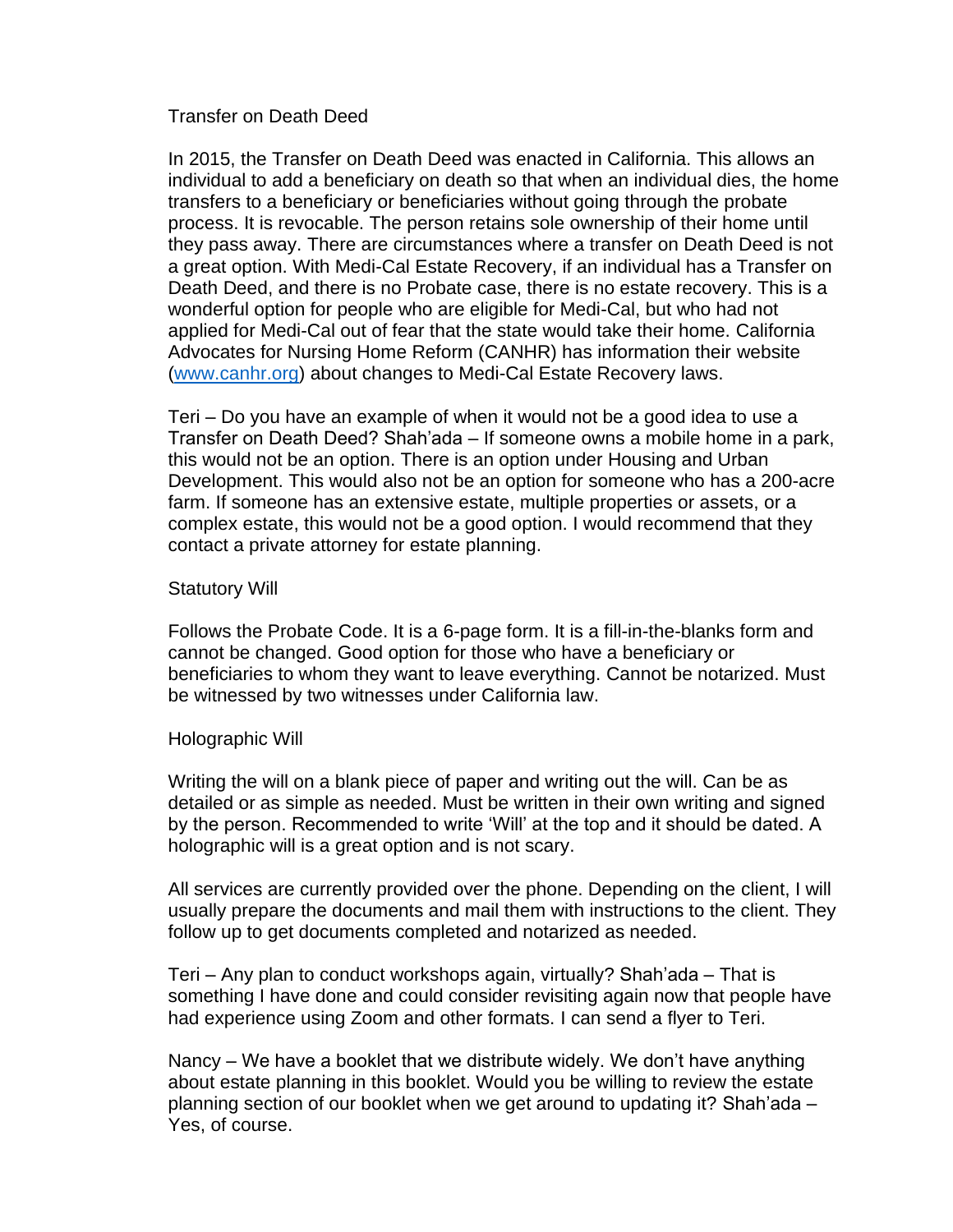Transfer on Death Deed

In 2015, the Transfer on Death Deed was enacted in California. This allows an individual to add a beneficiary on death so that when an individual dies, the home transfers to a beneficiary or beneficiaries without going through the probate process. It is revocable. The person retains sole ownership of their home until they pass away. There are circumstances where a transfer on Death Deed is not a great option. With Medi-Cal Estate Recovery, if an individual has a Transfer on Death Deed, and there is no Probate case, there is no estate recovery. This is a wonderful option for people who are eligible for Medi-Cal, but who had not applied for Medi-Cal out of fear that the state would take their home. California Advocates for Nursing Home Reform (CANHR) has information their website [\(www.canhr.org\)](http://www.canhr.org/) about changes to Medi-Cal Estate Recovery laws.

Teri – Do you have an example of when it would not be a good idea to use a Transfer on Death Deed? Shah'ada – If someone owns a mobile home in a park, this would not be an option. There is an option under Housing and Urban Development. This would also not be an option for someone who has a 200-acre farm. If someone has an extensive estate, multiple properties or assets, or a complex estate, this would not be a good option. I would recommend that they contact a private attorney for estate planning.

#### Statutory Will

Follows the Probate Code. It is a 6-page form. It is a fill-in-the-blanks form and cannot be changed. Good option for those who have a beneficiary or beneficiaries to whom they want to leave everything. Cannot be notarized. Must be witnessed by two witnesses under California law.

#### Holographic Will

Writing the will on a blank piece of paper and writing out the will. Can be as detailed or as simple as needed. Must be written in their own writing and signed by the person. Recommended to write 'Will' at the top and it should be dated. A holographic will is a great option and is not scary.

All services are currently provided over the phone. Depending on the client, I will usually prepare the documents and mail them with instructions to the client. They follow up to get documents completed and notarized as needed.

Teri – Any plan to conduct workshops again, virtually? Shah'ada – That is something I have done and could consider revisiting again now that people have had experience using Zoom and other formats. I can send a flyer to Teri.

Nancy – We have a booklet that we distribute widely. We don't have anything about estate planning in this booklet. Would you be willing to review the estate planning section of our booklet when we get around to updating it? Shah'ada – Yes, of course.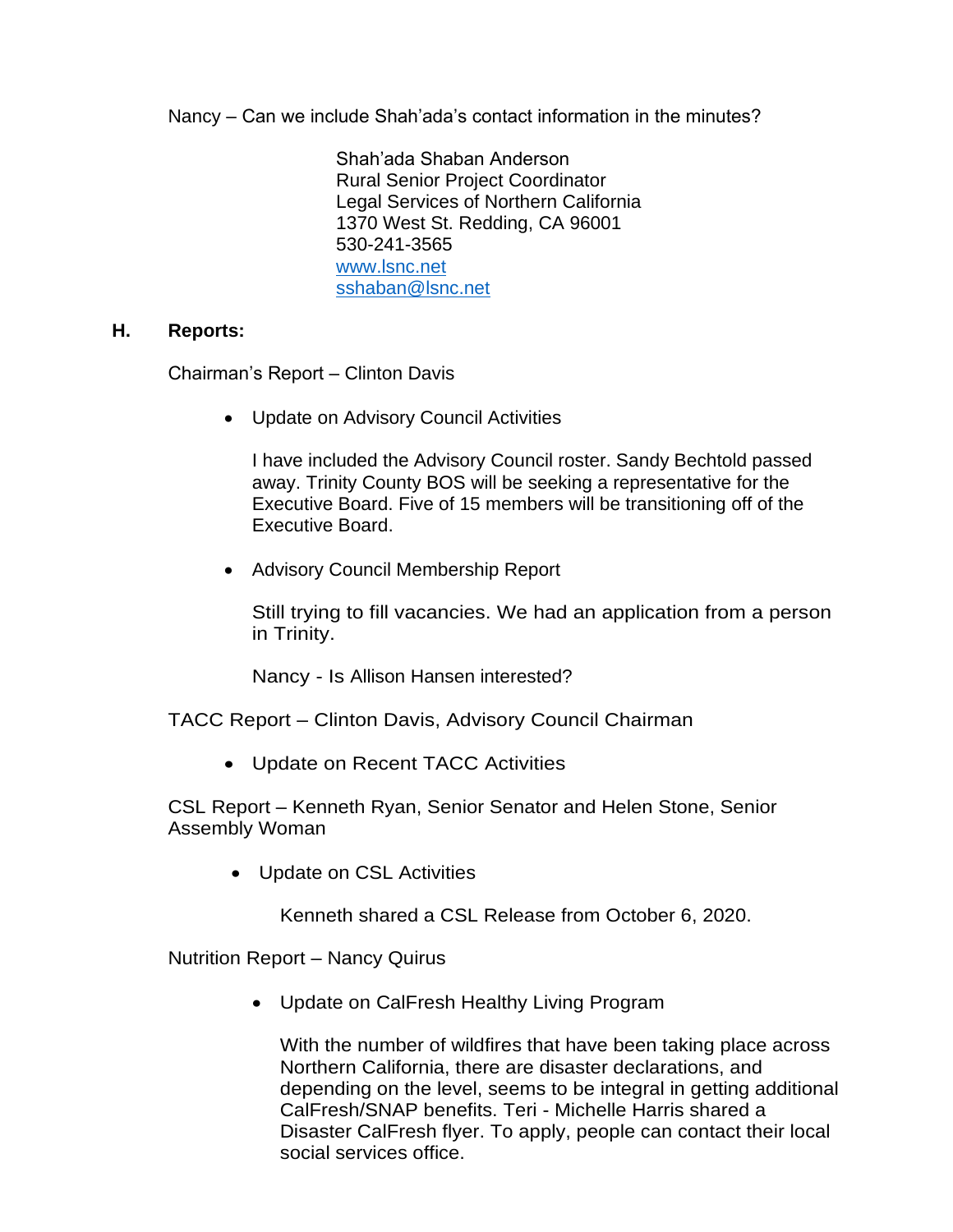Nancy – Can we include Shah'ada's contact information in the minutes?

Shah'ada Shaban Anderson Rural Senior Project Coordinator Legal Services of Northern California 1370 West St. Redding, CA 96001 530-241-3565 [www.lsnc.net](http://www.lsnc.net/) [sshaban@lsnc.net](mailto:sshaban@lsnc.net)

#### **H. Reports:**

Chairman's Report – Clinton Davis

• Update on Advisory Council Activities

I have included the Advisory Council roster. Sandy Bechtold passed away. Trinity County BOS will be seeking a representative for the Executive Board. Five of 15 members will be transitioning off of the Executive Board.

• Advisory Council Membership Report

Still trying to fill vacancies. We had an application from a person in Trinity.

Nancy - Is Allison Hansen interested?

TACC Report – Clinton Davis, Advisory Council Chairman

• Update on Recent TACC Activities

CSL Report – Kenneth Ryan, Senior Senator and Helen Stone, Senior Assembly Woman

• Update on CSL Activities

Kenneth shared a CSL Release from October 6, 2020.

Nutrition Report – Nancy Quirus

• Update on CalFresh Healthy Living Program

With the number of wildfires that have been taking place across Northern California, there are disaster declarations, and depending on the level, seems to be integral in getting additional CalFresh/SNAP benefits. Teri - Michelle Harris shared a Disaster CalFresh flyer. To apply, people can contact their local social services office.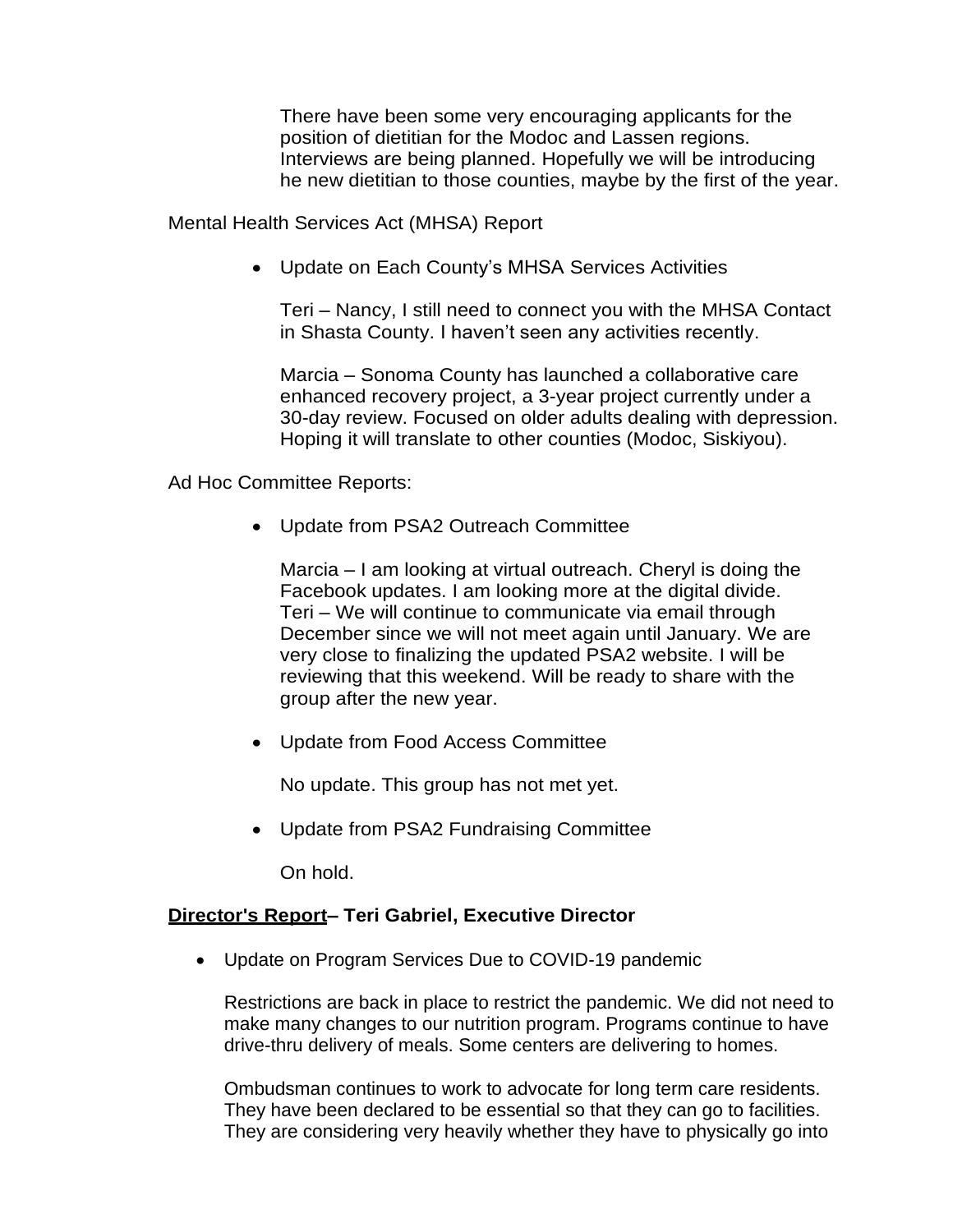There have been some very encouraging applicants for the position of dietitian for the Modoc and Lassen regions. Interviews are being planned. Hopefully we will be introducing he new dietitian to those counties, maybe by the first of the year.

Mental Health Services Act (MHSA) Report

• Update on Each County's MHSA Services Activities

Teri – Nancy, I still need to connect you with the MHSA Contact in Shasta County. I haven't seen any activities recently.

Marcia – Sonoma County has launched a collaborative care enhanced recovery project, a 3-year project currently under a 30-day review. Focused on older adults dealing with depression. Hoping it will translate to other counties (Modoc, Siskiyou).

Ad Hoc Committee Reports:

• Update from PSA2 Outreach Committee

Marcia – I am looking at virtual outreach. Cheryl is doing the Facebook updates. I am looking more at the digital divide. Teri – We will continue to communicate via email through December since we will not meet again until January. We are very close to finalizing the updated PSA2 website. I will be reviewing that this weekend. Will be ready to share with the group after the new year.

• Update from Food Access Committee

No update. This group has not met yet.

• Update from PSA2 Fundraising Committee

On hold.

### **Director's Report– Teri Gabriel, Executive Director**

• Update on Program Services Due to COVID-19 pandemic

Restrictions are back in place to restrict the pandemic. We did not need to make many changes to our nutrition program. Programs continue to have drive-thru delivery of meals. Some centers are delivering to homes.

Ombudsman continues to work to advocate for long term care residents. They have been declared to be essential so that they can go to facilities. They are considering very heavily whether they have to physically go into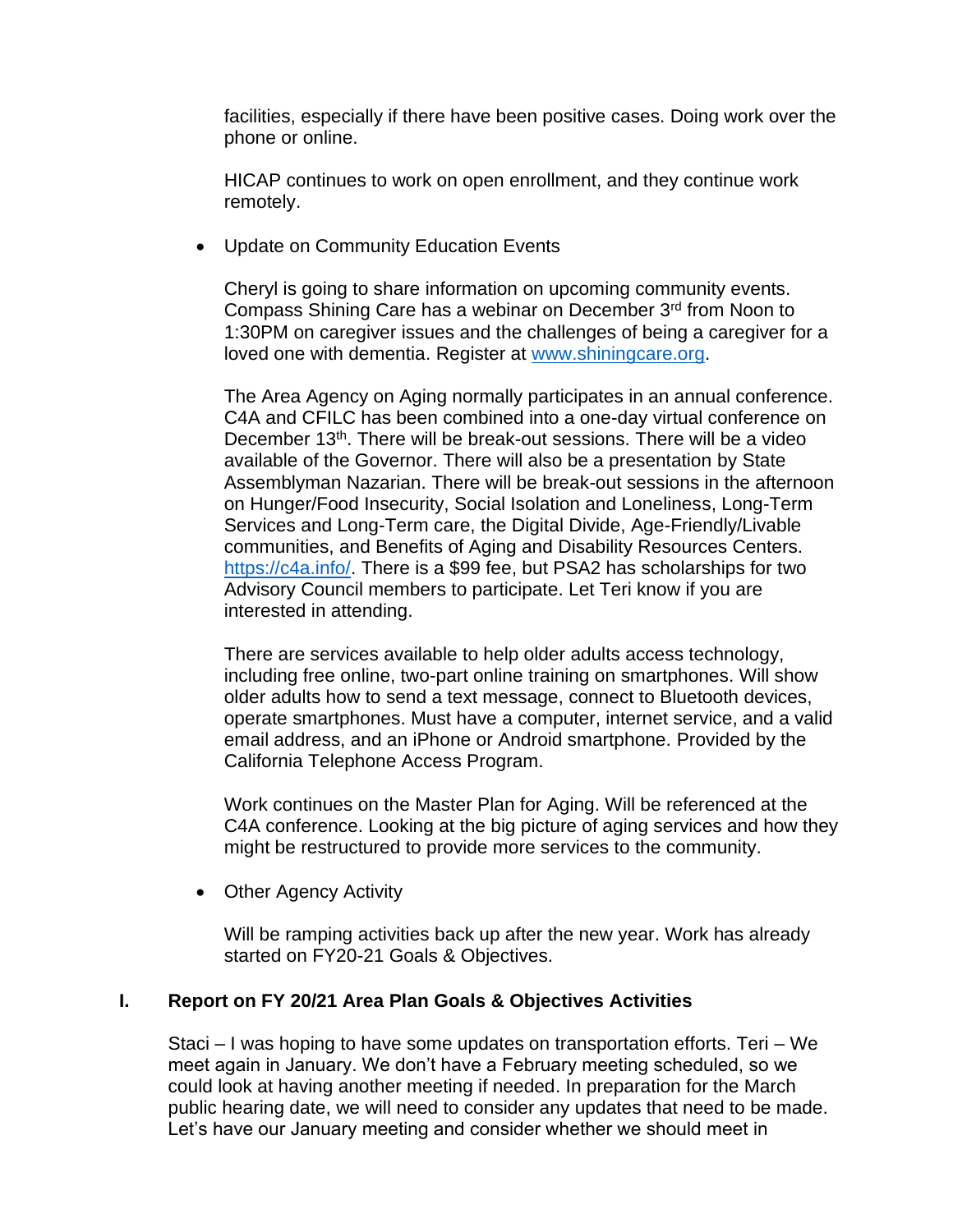facilities, especially if there have been positive cases. Doing work over the phone or online.

HICAP continues to work on open enrollment, and they continue work remotely.

• Update on Community Education Events

Cheryl is going to share information on upcoming community events. Compass Shining Care has a webinar on December 3rd from Noon to 1:30PM on caregiver issues and the challenges of being a caregiver for a loved one with dementia. Register at [www.shiningcare.org.](http://www.shiningcare.org/)

The Area Agency on Aging normally participates in an annual conference. C4A and CFILC has been combined into a one-day virtual conference on December 13<sup>th</sup>. There will be break-out sessions. There will be a video available of the Governor. There will also be a presentation by State Assemblyman Nazarian. There will be break-out sessions in the afternoon on Hunger/Food Insecurity, Social Isolation and Loneliness, Long-Term Services and Long-Term care, the Digital Divide, Age-Friendly/Livable communities, and Benefits of Aging and Disability Resources Centers. [https://c4a.info/.](https://c4a.info/) There is a \$99 fee, but PSA2 has scholarships for two Advisory Council members to participate. Let Teri know if you are interested in attending.

There are services available to help older adults access technology, including free online, two-part online training on smartphones. Will show older adults how to send a text message, connect to Bluetooth devices, operate smartphones. Must have a computer, internet service, and a valid email address, and an iPhone or Android smartphone. Provided by the California Telephone Access Program.

Work continues on the Master Plan for Aging. Will be referenced at the C4A conference. Looking at the big picture of aging services and how they might be restructured to provide more services to the community.

• Other Agency Activity

Will be ramping activities back up after the new year. Work has already started on FY20-21 Goals & Objectives.

# **I. Report on FY 20/21 Area Plan Goals & Objectives Activities**

Staci – I was hoping to have some updates on transportation efforts. Teri – We meet again in January. We don't have a February meeting scheduled, so we could look at having another meeting if needed. In preparation for the March public hearing date, we will need to consider any updates that need to be made. Let's have our January meeting and consider whether we should meet in